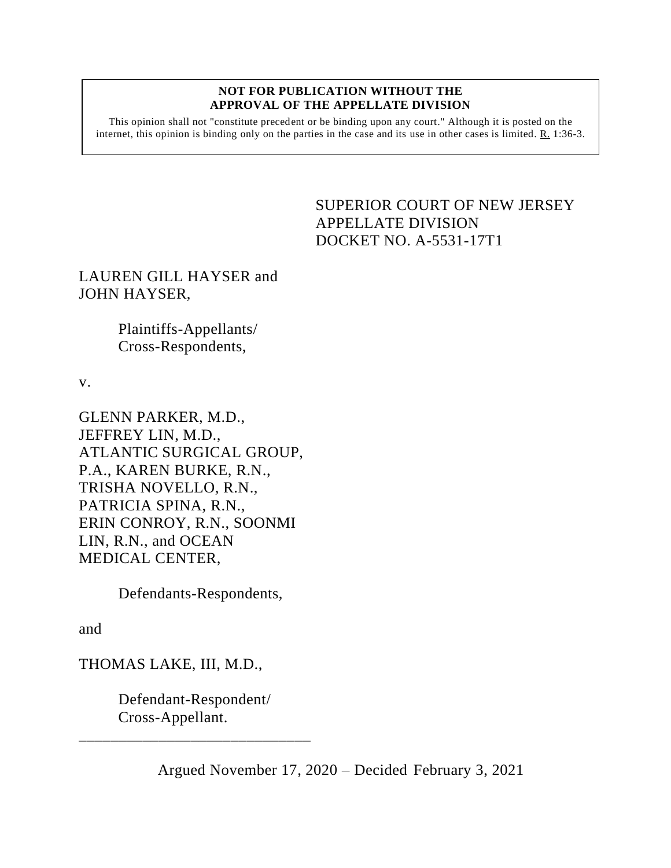#### **NOT FOR PUBLICATION WITHOUT THE APPROVAL OF THE APPELLATE DIVISION**

This opinion shall not "constitute precedent or be binding upon any court." Although it is posted on the internet, this opinion is binding only on the parties in the case and its use in other cases is limited. R. 1:36-3.

# SUPERIOR COURT OF NEW JERSEY APPELLATE DIVISION DOCKET NO. A-5531-17T1

LAUREN GILL HAYSER and JOHN HAYSER,

> Plaintiffs-Appellants/ Cross-Respondents,

v.

GLENN PARKER, M.D., JEFFREY LIN, M.D., ATLANTIC SURGICAL GROUP, P.A., KAREN BURKE, R.N., TRISHA NOVELLO, R.N., PATRICIA SPINA, R.N., ERIN CONROY, R.N., SOONMI LIN, R.N., and OCEAN MEDICAL CENTER,

Defendants-Respondents,

and

THOMAS LAKE, III, M.D.,

Defendant-Respondent/ Cross-Appellant.

\_\_\_\_\_\_\_\_\_\_\_\_\_\_\_\_\_\_\_\_\_\_\_\_\_\_\_\_\_

Argued November 17, 2020 – Decided February 3, 2021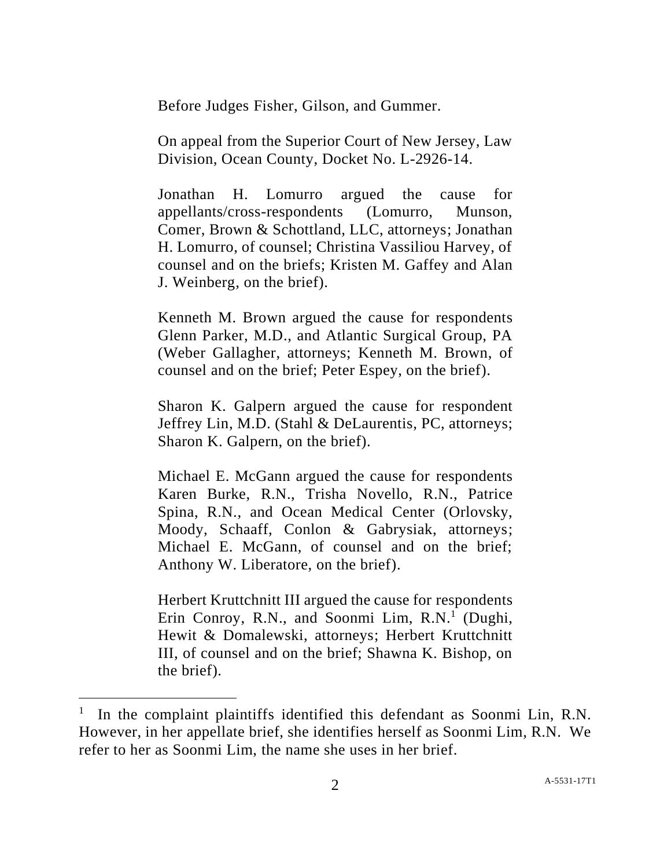Before Judges Fisher, Gilson, and Gummer.

On appeal from the Superior Court of New Jersey, Law Division, Ocean County, Docket No. L-2926-14.

Jonathan H. Lomurro argued the cause for appellants/cross-respondents (Lomurro, Munson, Comer, Brown & Schottland, LLC, attorneys; Jonathan H. Lomurro, of counsel; Christina Vassiliou Harvey, of counsel and on the briefs; Kristen M. Gaffey and Alan J. Weinberg, on the brief).

Kenneth M. Brown argued the cause for respondents Glenn Parker, M.D., and Atlantic Surgical Group, PA (Weber Gallagher, attorneys; Kenneth M. Brown, of counsel and on the brief; Peter Espey, on the brief).

Sharon K. Galpern argued the cause for respondent Jeffrey Lin, M.D. (Stahl & DeLaurentis, PC, attorneys; Sharon K. Galpern, on the brief).

Michael E. McGann argued the cause for respondents Karen Burke, R.N., Trisha Novello, R.N., Patrice Spina, R.N., and Ocean Medical Center (Orlovsky, Moody, Schaaff, Conlon & Gabrysiak, attorneys; Michael E. McGann, of counsel and on the brief; Anthony W. Liberatore, on the brief).

Herbert Kruttchnitt III argued the cause for respondents Erin Conroy, R.N., and Soonmi Lim, R.N.<sup>1</sup> (Dughi, Hewit & Domalewski, attorneys; Herbert Kruttchnitt III, of counsel and on the brief; Shawna K. Bishop, on the brief).

<sup>1</sup> In the complaint plaintiffs identified this defendant as Soonmi Lin, R.N. However, in her appellate brief, she identifies herself as Soonmi Lim, R.N. We refer to her as Soonmi Lim, the name she uses in her brief.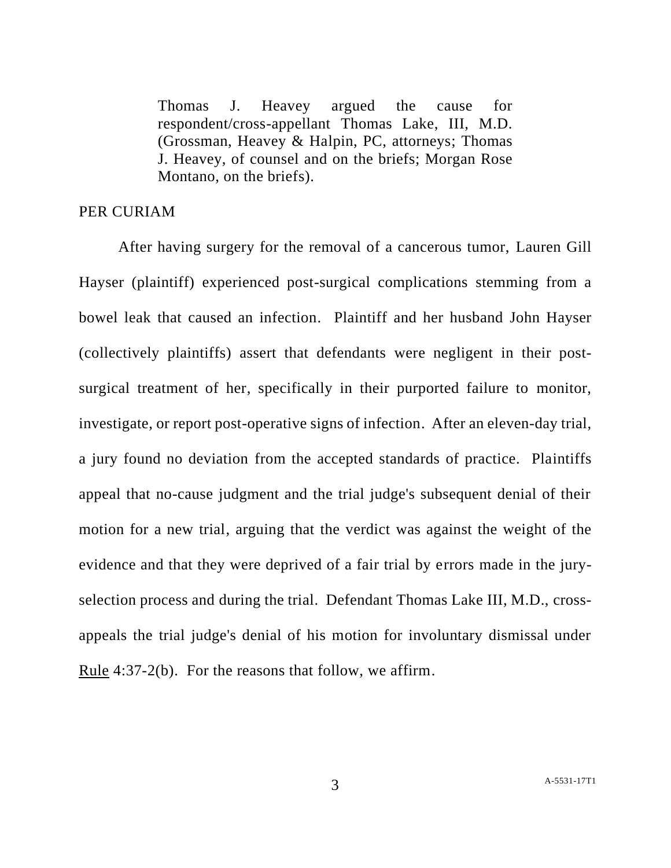Thomas J. Heavey argued the cause for respondent/cross-appellant Thomas Lake, III, M.D. (Grossman, Heavey & Halpin, PC, attorneys; Thomas J. Heavey, of counsel and on the briefs; Morgan Rose Montano, on the briefs).

# PER CURIAM

After having surgery for the removal of a cancerous tumor, Lauren Gill Hayser (plaintiff) experienced post-surgical complications stemming from a bowel leak that caused an infection. Plaintiff and her husband John Hayser (collectively plaintiffs) assert that defendants were negligent in their postsurgical treatment of her, specifically in their purported failure to monitor, investigate, or report post-operative signs of infection. After an eleven-day trial, a jury found no deviation from the accepted standards of practice. Plaintiffs appeal that no-cause judgment and the trial judge's subsequent denial of their motion for a new trial, arguing that the verdict was against the weight of the evidence and that they were deprived of a fair trial by errors made in the juryselection process and during the trial. Defendant Thomas Lake III, M.D., crossappeals the trial judge's denial of his motion for involuntary dismissal under Rule 4:37-2(b). For the reasons that follow, we affirm.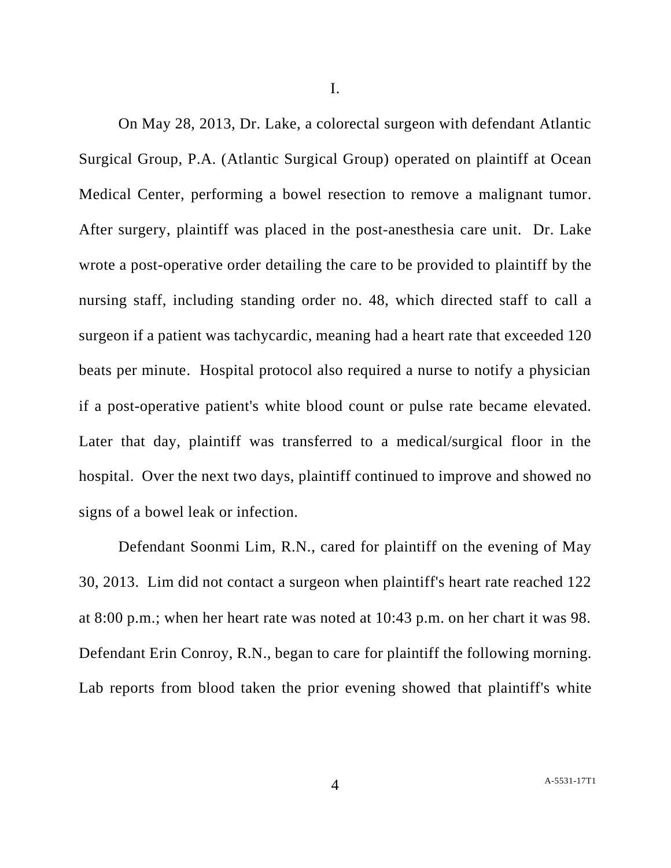I.

On May 28, 2013, Dr. Lake, a colorectal surgeon with defendant Atlantic Surgical Group, P.A. (Atlantic Surgical Group) operated on plaintiff at Ocean Medical Center, performing a bowel resection to remove a malignant tumor. After surgery, plaintiff was placed in the post-anesthesia care unit. Dr. Lake wrote a post-operative order detailing the care to be provided to plaintiff by the nursing staff, including standing order no. 48, which directed staff to call a surgeon if a patient was tachycardic, meaning had a heart rate that exceeded 120 beats per minute. Hospital protocol also required a nurse to notify a physician if a post-operative patient's white blood count or pulse rate became elevated. Later that day, plaintiff was transferred to a medical/surgical floor in the hospital. Over the next two days, plaintiff continued to improve and showed no signs of a bowel leak or infection.

Defendant Soonmi Lim, R.N., cared for plaintiff on the evening of May 30, 2013. Lim did not contact a surgeon when plaintiff's heart rate reached 122 at 8:00 p.m.; when her heart rate was noted at 10:43 p.m. on her chart it was 98. Defendant Erin Conroy, R.N., began to care for plaintiff the following morning. Lab reports from blood taken the prior evening showed that plaintiff's white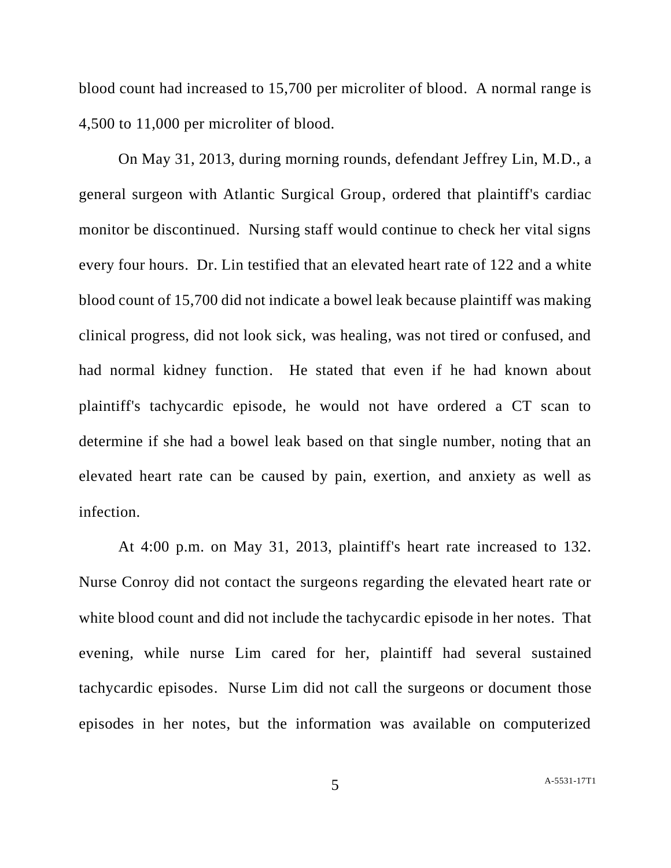blood count had increased to 15,700 per microliter of blood. A normal range is 4,500 to 11,000 per microliter of blood.

On May 31, 2013, during morning rounds, defendant Jeffrey Lin, M.D., a general surgeon with Atlantic Surgical Group, ordered that plaintiff's cardiac monitor be discontinued. Nursing staff would continue to check her vital signs every four hours. Dr. Lin testified that an elevated heart rate of 122 and a white blood count of 15,700 did not indicate a bowel leak because plaintiff was making clinical progress, did not look sick, was healing, was not tired or confused, and had normal kidney function. He stated that even if he had known about plaintiff's tachycardic episode, he would not have ordered a CT scan to determine if she had a bowel leak based on that single number, noting that an elevated heart rate can be caused by pain, exertion, and anxiety as well as infection.

At 4:00 p.m. on May 31, 2013, plaintiff's heart rate increased to 132. Nurse Conroy did not contact the surgeons regarding the elevated heart rate or white blood count and did not include the tachycardic episode in her notes. That evening, while nurse Lim cared for her, plaintiff had several sustained tachycardic episodes. Nurse Lim did not call the surgeons or document those episodes in her notes, but the information was available on computerized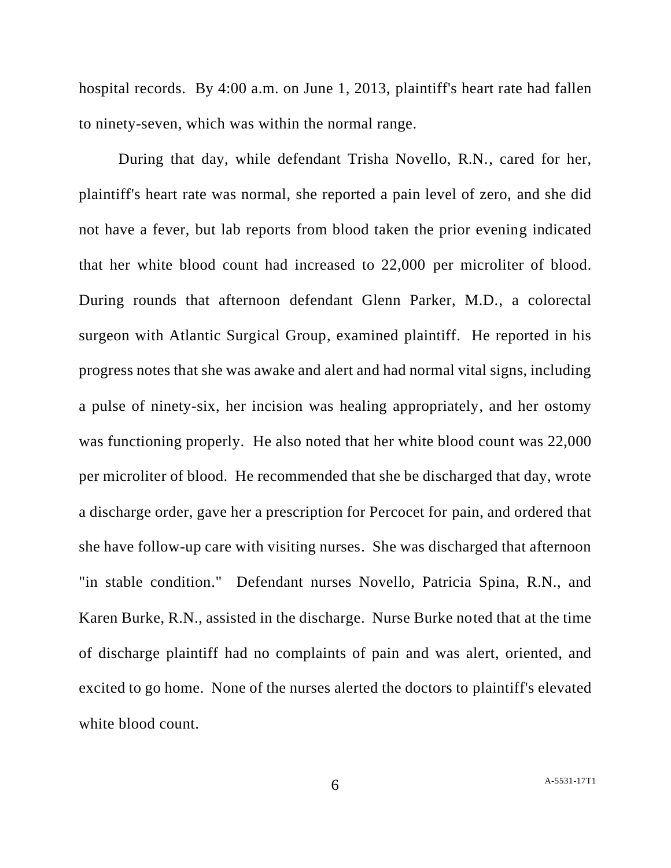hospital records. By 4:00 a.m. on June 1, 2013, plaintiff's heart rate had fallen to ninety-seven, which was within the normal range.

During that day, while defendant Trisha Novello, R.N., cared for her, plaintiff's heart rate was normal, she reported a pain level of zero, and she did not have a fever, but lab reports from blood taken the prior evening indicated that her white blood count had increased to 22,000 per microliter of blood. During rounds that afternoon defendant Glenn Parker, M.D., a colorectal surgeon with Atlantic Surgical Group, examined plaintiff. He reported in his progress notes that she was awake and alert and had normal vital signs, including a pulse of ninety-six, her incision was healing appropriately, and her ostomy was functioning properly. He also noted that her white blood count was 22,000 per microliter of blood. He recommended that she be discharged that day, wrote a discharge order, gave her a prescription for Percocet for pain, and ordered that she have follow-up care with visiting nurses. She was discharged that afternoon "in stable condition." Defendant nurses Novello, Patricia Spina, R.N., and Karen Burke, R.N., assisted in the discharge. Nurse Burke noted that at the time of discharge plaintiff had no complaints of pain and was alert, oriented, and excited to go home. None of the nurses alerted the doctors to plaintiff's elevated white blood count.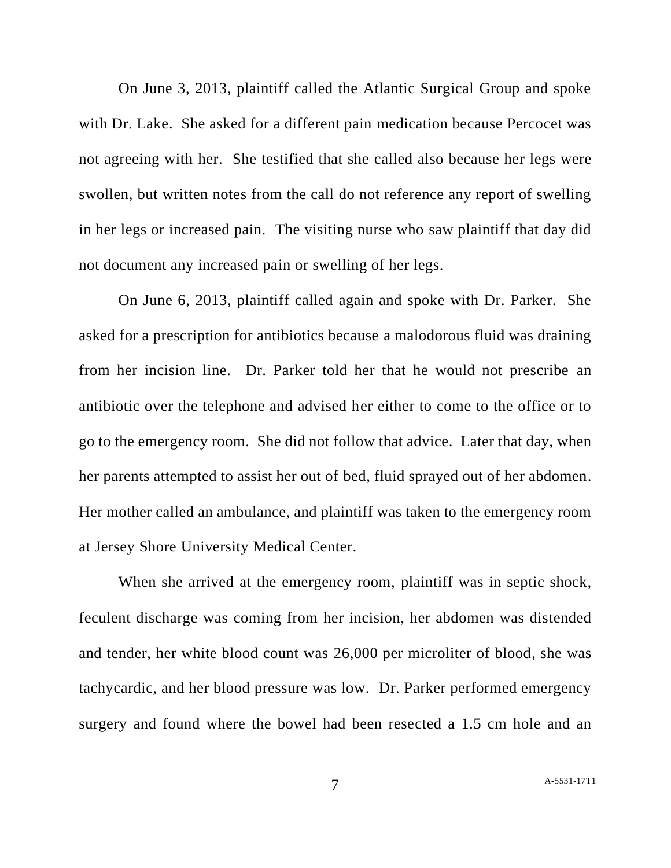On June 3, 2013, plaintiff called the Atlantic Surgical Group and spoke with Dr. Lake. She asked for a different pain medication because Percocet was not agreeing with her. She testified that she called also because her legs were swollen, but written notes from the call do not reference any report of swelling in her legs or increased pain. The visiting nurse who saw plaintiff that day did not document any increased pain or swelling of her legs.

On June 6, 2013, plaintiff called again and spoke with Dr. Parker. She asked for a prescription for antibiotics because a malodorous fluid was draining from her incision line. Dr. Parker told her that he would not prescribe an antibiotic over the telephone and advised her either to come to the office or to go to the emergency room. She did not follow that advice. Later that day, when her parents attempted to assist her out of bed, fluid sprayed out of her abdomen. Her mother called an ambulance, and plaintiff was taken to the emergency room at Jersey Shore University Medical Center.

When she arrived at the emergency room, plaintiff was in septic shock, feculent discharge was coming from her incision, her abdomen was distended and tender, her white blood count was 26,000 per microliter of blood, she was tachycardic, and her blood pressure was low. Dr. Parker performed emergency surgery and found where the bowel had been resected a 1.5 cm hole and an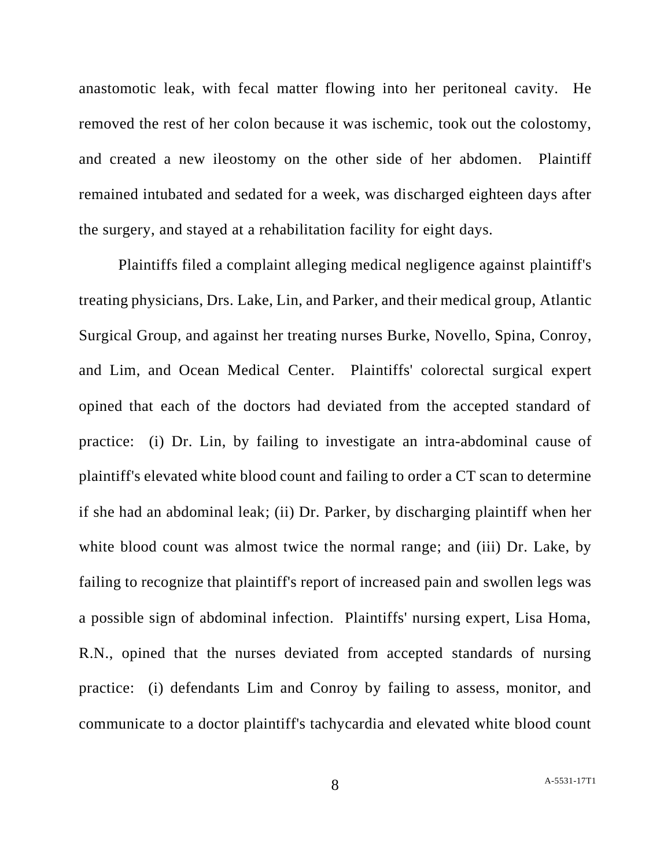anastomotic leak, with fecal matter flowing into her peritoneal cavity. He removed the rest of her colon because it was ischemic, took out the colostomy, and created a new ileostomy on the other side of her abdomen. Plaintiff remained intubated and sedated for a week, was discharged eighteen days after the surgery, and stayed at a rehabilitation facility for eight days.

Plaintiffs filed a complaint alleging medical negligence against plaintiff's treating physicians, Drs. Lake, Lin, and Parker, and their medical group, Atlantic Surgical Group, and against her treating nurses Burke, Novello, Spina, Conroy, and Lim, and Ocean Medical Center. Plaintiffs' colorectal surgical expert opined that each of the doctors had deviated from the accepted standard of practice: (i) Dr. Lin, by failing to investigate an intra-abdominal cause of plaintiff's elevated white blood count and failing to order a CT scan to determine if she had an abdominal leak; (ii) Dr. Parker, by discharging plaintiff when her white blood count was almost twice the normal range; and (iii) Dr. Lake, by failing to recognize that plaintiff's report of increased pain and swollen legs was a possible sign of abdominal infection. Plaintiffs' nursing expert, Lisa Homa, R.N., opined that the nurses deviated from accepted standards of nursing practice: (i) defendants Lim and Conroy by failing to assess, monitor, and communicate to a doctor plaintiff's tachycardia and elevated white blood count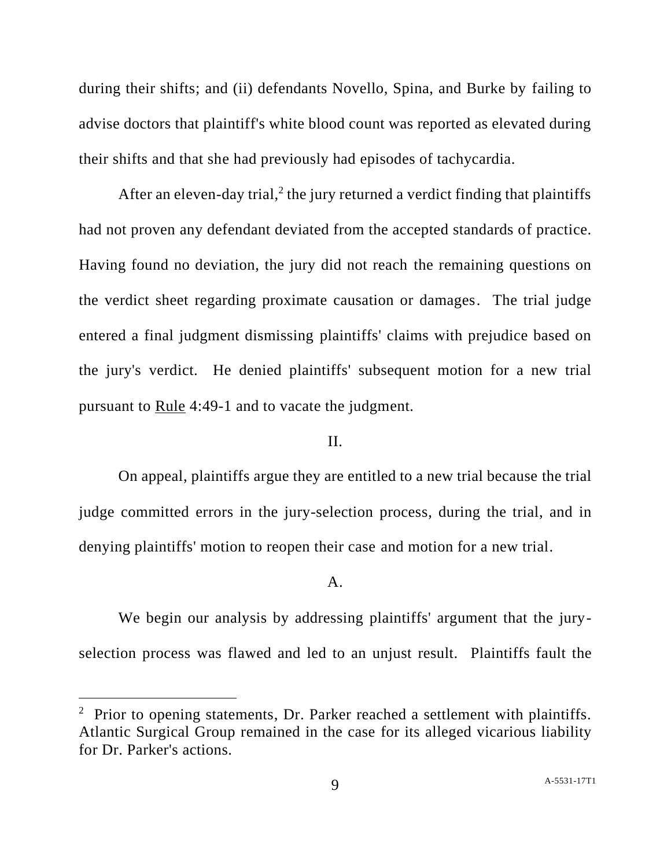during their shifts; and (ii) defendants Novello, Spina, and Burke by failing to advise doctors that plaintiff's white blood count was reported as elevated during their shifts and that she had previously had episodes of tachycardia.

After an eleven-day trial,<sup>2</sup> the jury returned a verdict finding that plaintiffs had not proven any defendant deviated from the accepted standards of practice. Having found no deviation, the jury did not reach the remaining questions on the verdict sheet regarding proximate causation or damages. The trial judge entered a final judgment dismissing plaintiffs' claims with prejudice based on the jury's verdict. He denied plaintiffs' subsequent motion for a new trial pursuant to Rule 4:49-1 and to vacate the judgment.

# II.

On appeal, plaintiffs argue they are entitled to a new trial because the trial judge committed errors in the jury-selection process, during the trial, and in denying plaintiffs' motion to reopen their case and motion for a new trial.

#### A.

We begin our analysis by addressing plaintiffs' argument that the juryselection process was flawed and led to an unjust result. Plaintiffs fault the

<sup>&</sup>lt;sup>2</sup> Prior to opening statements, Dr. Parker reached a settlement with plaintiffs. Atlantic Surgical Group remained in the case for its alleged vicarious liability for Dr. Parker's actions.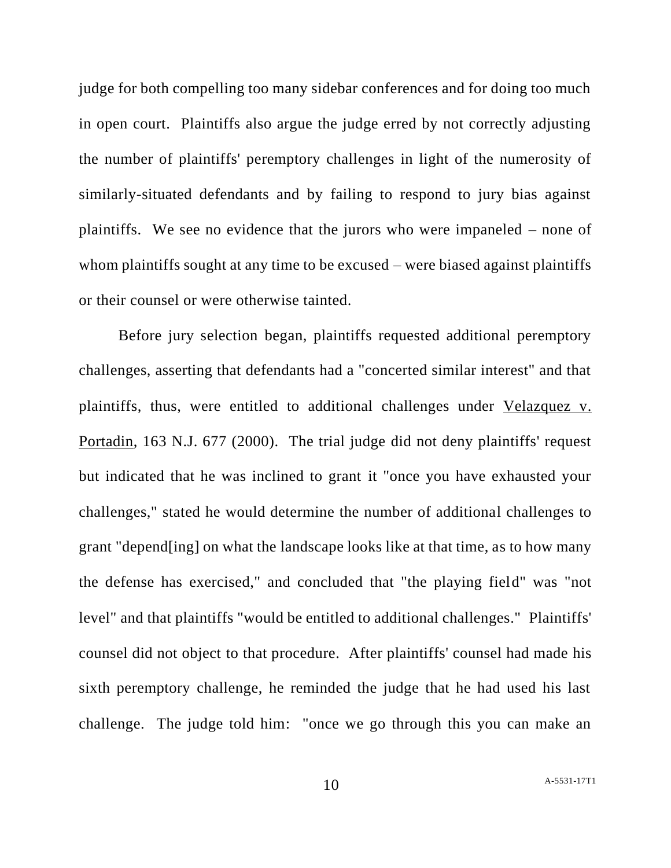judge for both compelling too many sidebar conferences and for doing too much in open court. Plaintiffs also argue the judge erred by not correctly adjusting the number of plaintiffs' peremptory challenges in light of the numerosity of similarly-situated defendants and by failing to respond to jury bias against plaintiffs. We see no evidence that the jurors who were impaneled – none of whom plaintiffs sought at any time to be excused – were biased against plaintiffs or their counsel or were otherwise tainted.

Before jury selection began, plaintiffs requested additional peremptory challenges, asserting that defendants had a "concerted similar interest" and that plaintiffs, thus, were entitled to additional challenges under Velazquez v. Portadin, 163 N.J. 677 (2000). The trial judge did not deny plaintiffs' request but indicated that he was inclined to grant it "once you have exhausted your challenges," stated he would determine the number of additional challenges to grant "depend[ing] on what the landscape looks like at that time, as to how many the defense has exercised," and concluded that "the playing field" was "not level" and that plaintiffs "would be entitled to additional challenges." Plaintiffs' counsel did not object to that procedure. After plaintiffs' counsel had made his sixth peremptory challenge, he reminded the judge that he had used his last challenge. The judge told him: "once we go through this you can make an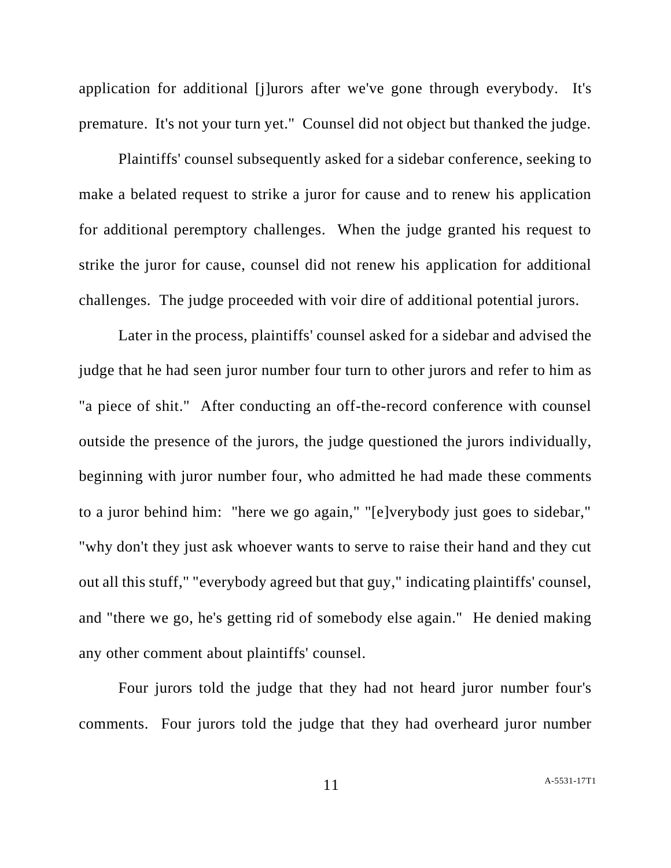application for additional [j]urors after we've gone through everybody. It's premature. It's not your turn yet." Counsel did not object but thanked the judge.

Plaintiffs' counsel subsequently asked for a sidebar conference, seeking to make a belated request to strike a juror for cause and to renew his application for additional peremptory challenges. When the judge granted his request to strike the juror for cause, counsel did not renew his application for additional challenges. The judge proceeded with voir dire of additional potential jurors.

Later in the process, plaintiffs' counsel asked for a sidebar and advised the judge that he had seen juror number four turn to other jurors and refer to him as "a piece of shit." After conducting an off-the-record conference with counsel outside the presence of the jurors, the judge questioned the jurors individually, beginning with juror number four, who admitted he had made these comments to a juror behind him: "here we go again," "[e]verybody just goes to sidebar," "why don't they just ask whoever wants to serve to raise their hand and they cut out all this stuff," "everybody agreed but that guy," indicating plaintiffs' counsel, and "there we go, he's getting rid of somebody else again." He denied making any other comment about plaintiffs' counsel.

Four jurors told the judge that they had not heard juror number four's comments. Four jurors told the judge that they had overheard juror number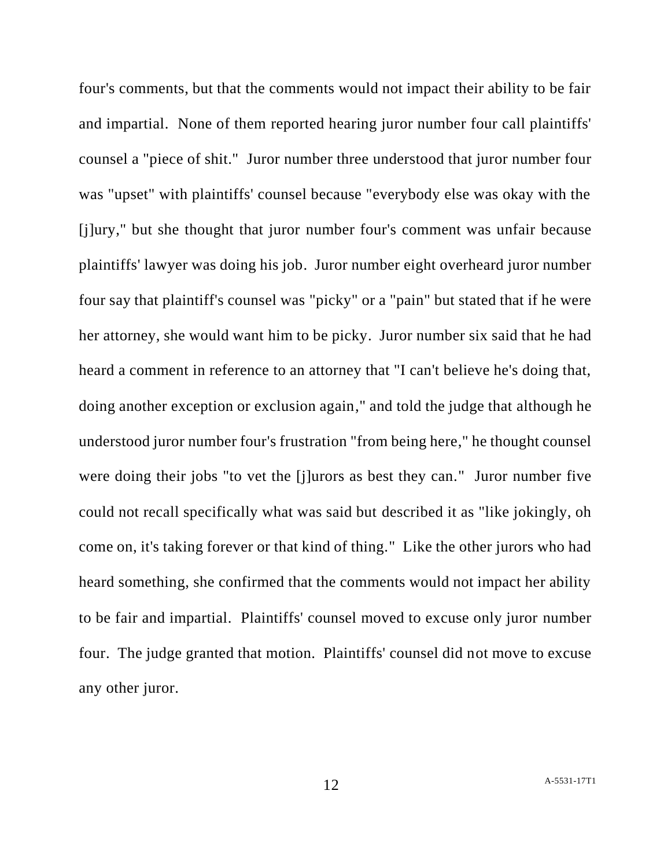four's comments, but that the comments would not impact their ability to be fair and impartial. None of them reported hearing juror number four call plaintiffs' counsel a "piece of shit." Juror number three understood that juror number four was "upset" with plaintiffs' counsel because "everybody else was okay with the [j]ury," but she thought that juror number four's comment was unfair because plaintiffs' lawyer was doing his job. Juror number eight overheard juror number four say that plaintiff's counsel was "picky" or a "pain" but stated that if he were her attorney, she would want him to be picky. Juror number six said that he had heard a comment in reference to an attorney that "I can't believe he's doing that, doing another exception or exclusion again," and told the judge that although he understood juror number four's frustration "from being here," he thought counsel were doing their jobs "to vet the [j]urors as best they can." Juror number five could not recall specifically what was said but described it as "like jokingly, oh come on, it's taking forever or that kind of thing." Like the other jurors who had heard something, she confirmed that the comments would not impact her ability to be fair and impartial. Plaintiffs' counsel moved to excuse only juror number four. The judge granted that motion. Plaintiffs' counsel did not move to excuse any other juror.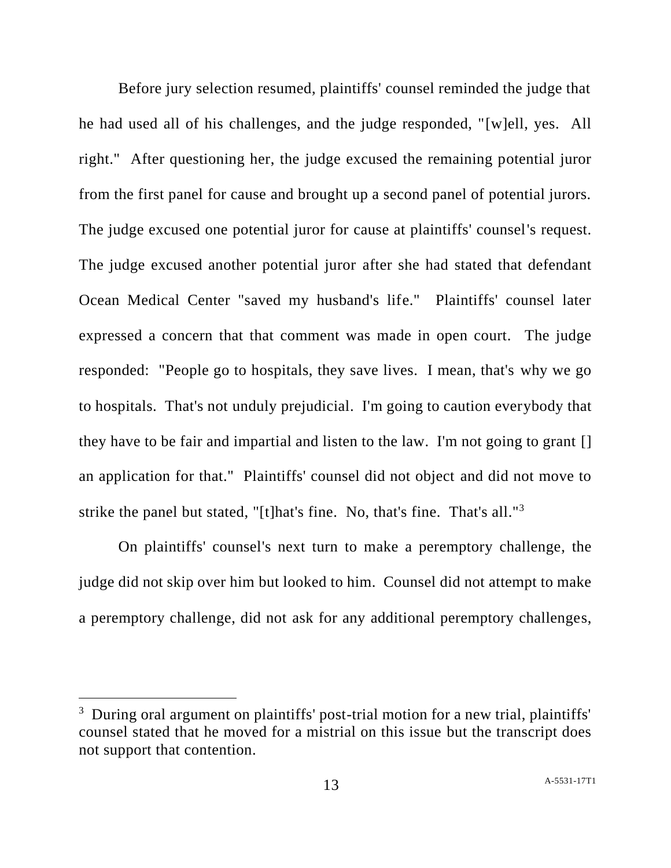Before jury selection resumed, plaintiffs' counsel reminded the judge that he had used all of his challenges, and the judge responded, "[w]ell, yes. All right." After questioning her, the judge excused the remaining potential juror from the first panel for cause and brought up a second panel of potential jurors. The judge excused one potential juror for cause at plaintiffs' counsel's request. The judge excused another potential juror after she had stated that defendant Ocean Medical Center "saved my husband's life." Plaintiffs' counsel later expressed a concern that that comment was made in open court. The judge responded: "People go to hospitals, they save lives. I mean, that's why we go to hospitals. That's not unduly prejudicial. I'm going to caution everybody that they have to be fair and impartial and listen to the law. I'm not going to grant [] an application for that." Plaintiffs' counsel did not object and did not move to strike the panel but stated, "[t]hat's fine. No, that's fine. That's all."<sup>3</sup>

On plaintiffs' counsel's next turn to make a peremptory challenge, the judge did not skip over him but looked to him. Counsel did not attempt to make a peremptory challenge, did not ask for any additional peremptory challenges,

<sup>&</sup>lt;sup>3</sup> During oral argument on plaintiffs' post-trial motion for a new trial, plaintiffs' counsel stated that he moved for a mistrial on this issue but the transcript does not support that contention.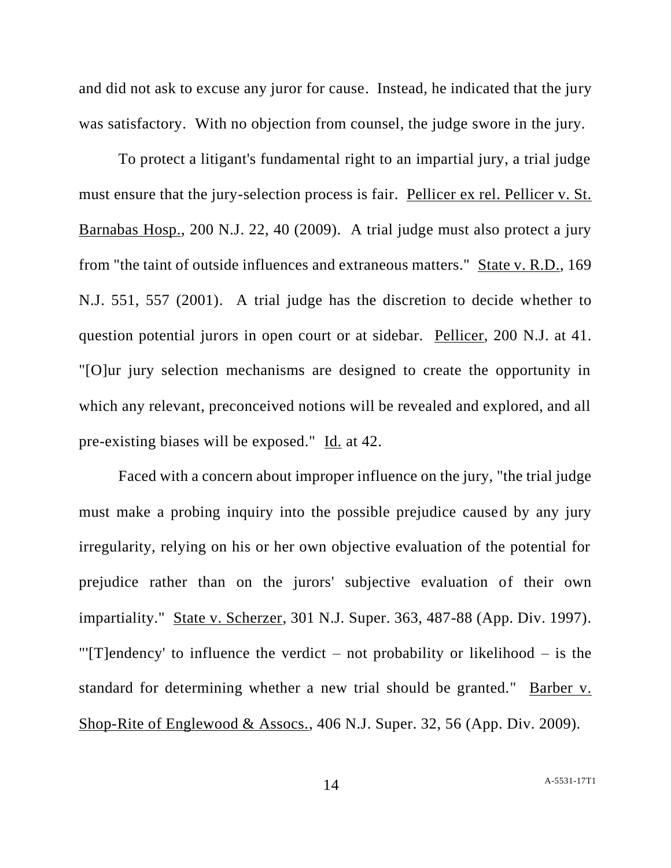and did not ask to excuse any juror for cause. Instead, he indicated that the jury was satisfactory. With no objection from counsel, the judge swore in the jury.

To protect a litigant's fundamental right to an impartial jury, a trial judge must ensure that the jury-selection process is fair. Pellicer ex rel. Pellicer v. St. Barnabas Hosp., 200 N.J. 22, 40 (2009). A trial judge must also protect a jury from "the taint of outside influences and extraneous matters." State v. R.D., 169 N.J. 551, 557 (2001). A trial judge has the discretion to decide whether to question potential jurors in open court or at sidebar. Pellicer, 200 N.J. at 41. "[O]ur jury selection mechanisms are designed to create the opportunity in which any relevant, preconceived notions will be revealed and explored, and all pre-existing biases will be exposed." Id. at 42.

Faced with a concern about improper influence on the jury, "the trial judge must make a probing inquiry into the possible prejudice caused by any jury irregularity, relying on his or her own objective evaluation of the potential for prejudice rather than on the jurors' subjective evaluation of their own impartiality." State v. Scherzer, 301 N.J. Super. 363, 487-88 (App. Div. 1997). "'[T]endency' to influence the verdict – not probability or likelihood – is the standard for determining whether a new trial should be granted." Barber v. Shop-Rite of Englewood & Assocs., 406 N.J. Super. 32, 56 (App. Div. 2009).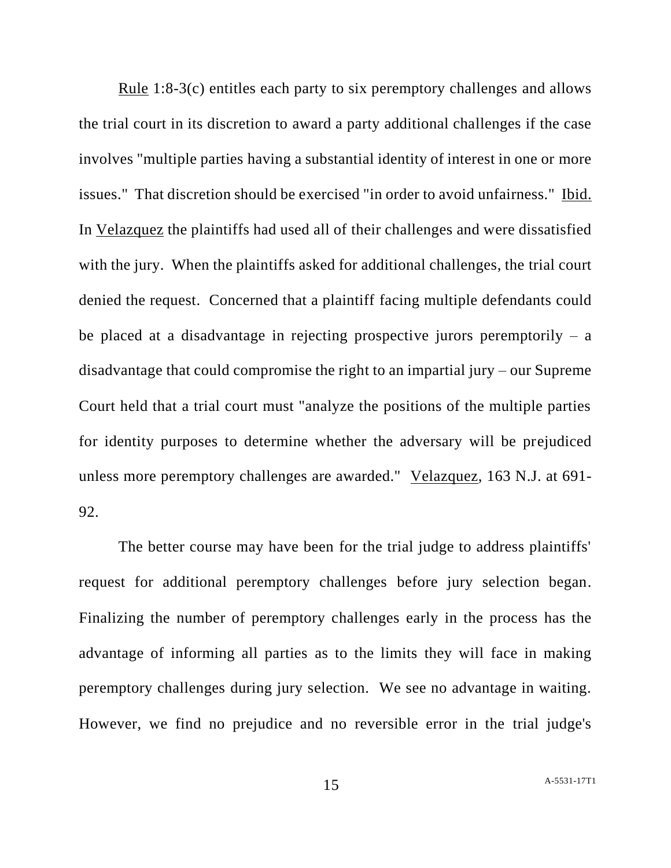Rule 1:8-3(c) entitles each party to six peremptory challenges and allows the trial court in its discretion to award a party additional challenges if the case involves "multiple parties having a substantial identity of interest in one or more issues." That discretion should be exercised "in order to avoid unfairness." Ibid. In Velazquez the plaintiffs had used all of their challenges and were dissatisfied with the jury. When the plaintiffs asked for additional challenges, the trial court denied the request. Concerned that a plaintiff facing multiple defendants could be placed at a disadvantage in rejecting prospective jurors peremptorily  $-$  a disadvantage that could compromise the right to an impartial jury – our Supreme Court held that a trial court must "analyze the positions of the multiple parties for identity purposes to determine whether the adversary will be prejudiced unless more peremptory challenges are awarded." Velazquez, 163 N.J. at 691- 92.

The better course may have been for the trial judge to address plaintiffs' request for additional peremptory challenges before jury selection began. Finalizing the number of peremptory challenges early in the process has the advantage of informing all parties as to the limits they will face in making peremptory challenges during jury selection. We see no advantage in waiting. However, we find no prejudice and no reversible error in the trial judge's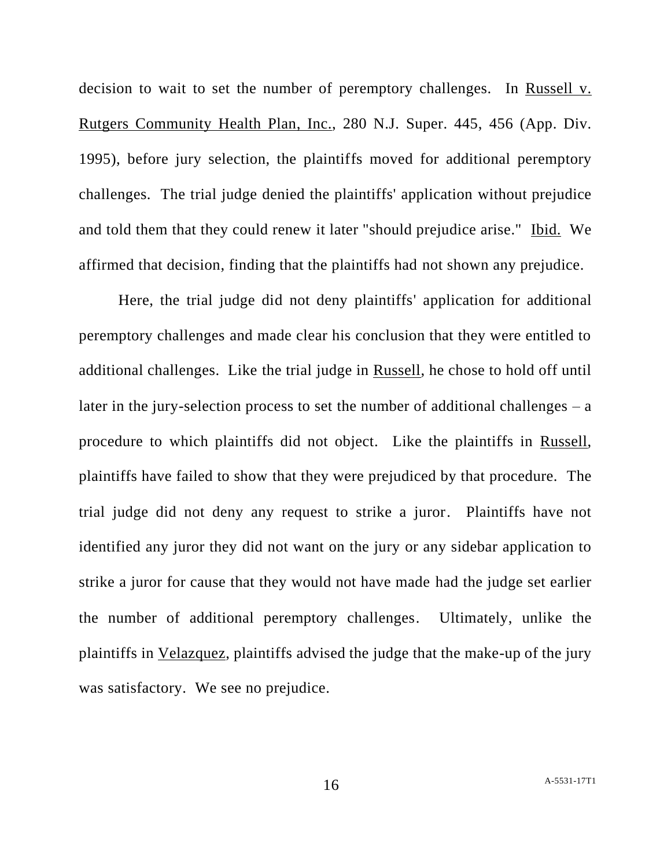decision to wait to set the number of peremptory challenges. In Russell v. Rutgers Community Health Plan, Inc., 280 N.J. Super. 445, 456 (App. Div. 1995), before jury selection, the plaintiffs moved for additional peremptory challenges. The trial judge denied the plaintiffs' application without prejudice and told them that they could renew it later "should prejudice arise." Ibid. We affirmed that decision, finding that the plaintiffs had not shown any prejudice.

Here, the trial judge did not deny plaintiffs' application for additional peremptory challenges and made clear his conclusion that they were entitled to additional challenges. Like the trial judge in Russell, he chose to hold off until later in the jury-selection process to set the number of additional challenges  $-$  a procedure to which plaintiffs did not object. Like the plaintiffs in Russell, plaintiffs have failed to show that they were prejudiced by that procedure. The trial judge did not deny any request to strike a juror. Plaintiffs have not identified any juror they did not want on the jury or any sidebar application to strike a juror for cause that they would not have made had the judge set earlier the number of additional peremptory challenges. Ultimately, unlike the plaintiffs in Velazquez, plaintiffs advised the judge that the make-up of the jury was satisfactory. We see no prejudice.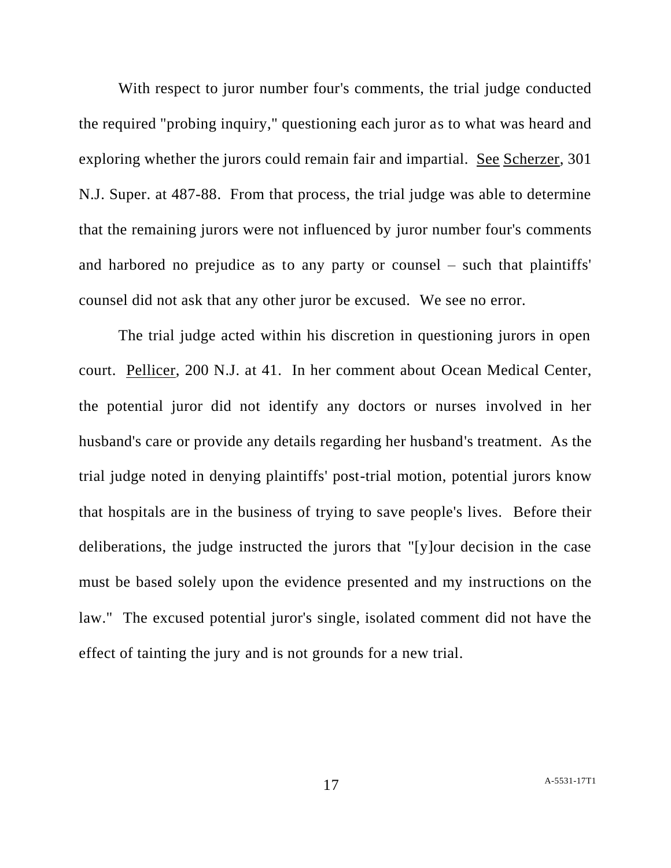With respect to juror number four's comments, the trial judge conducted the required "probing inquiry," questioning each juror as to what was heard and exploring whether the jurors could remain fair and impartial. See Scherzer, 301 N.J. Super. at 487-88. From that process, the trial judge was able to determine that the remaining jurors were not influenced by juror number four's comments and harbored no prejudice as to any party or counsel – such that plaintiffs' counsel did not ask that any other juror be excused. We see no error.

The trial judge acted within his discretion in questioning jurors in open court. Pellicer, 200 N.J. at 41. In her comment about Ocean Medical Center, the potential juror did not identify any doctors or nurses involved in her husband's care or provide any details regarding her husband's treatment. As the trial judge noted in denying plaintiffs' post-trial motion, potential jurors know that hospitals are in the business of trying to save people's lives. Before their deliberations, the judge instructed the jurors that "[y]our decision in the case must be based solely upon the evidence presented and my instructions on the law." The excused potential juror's single, isolated comment did not have the effect of tainting the jury and is not grounds for a new trial.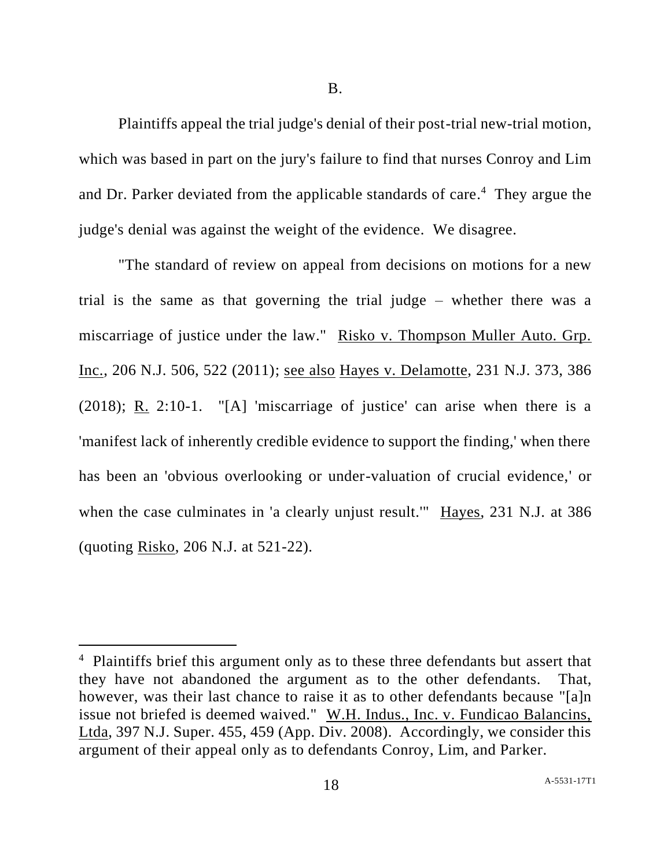B.

Plaintiffs appeal the trial judge's denial of their post-trial new-trial motion, which was based in part on the jury's failure to find that nurses Conroy and Lim and Dr. Parker deviated from the applicable standards of care.<sup>4</sup> They argue the judge's denial was against the weight of the evidence. We disagree.

"The standard of review on appeal from decisions on motions for a new trial is the same as that governing the trial judge – whether there was a miscarriage of justice under the law." Risko v. Thompson Muller Auto. Grp. Inc., 206 N.J. 506, 522 (2011); see also Hayes v. Delamotte, 231 N.J. 373, 386 (2018); R. 2:10-1. "[A] 'miscarriage of justice' can arise when there is a 'manifest lack of inherently credible evidence to support the finding,' when there has been an 'obvious overlooking or under-valuation of crucial evidence,' or when the case culminates in 'a clearly unjust result." Hayes, 231 N.J. at 386 (quoting Risko, 206 N.J. at 521-22).

<sup>&</sup>lt;sup>4</sup> Plaintiffs brief this argument only as to these three defendants but assert that they have not abandoned the argument as to the other defendants. That, however, was their last chance to raise it as to other defendants because "[a]n issue not briefed is deemed waived." W.H. Indus., Inc. v. Fundicao Balancins, Ltda, 397 N.J. Super. 455, 459 (App. Div. 2008). Accordingly, we consider this argument of their appeal only as to defendants Conroy, Lim, and Parker.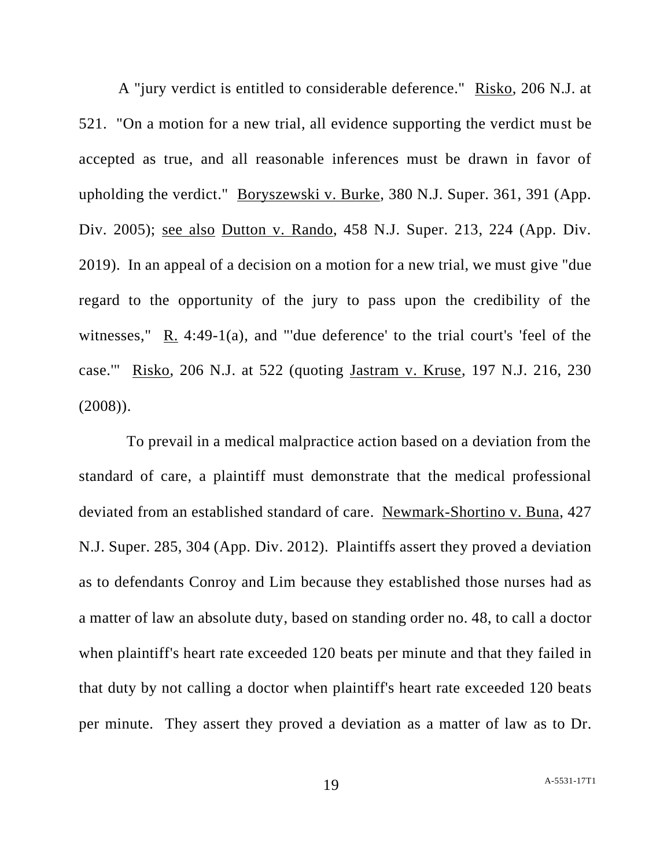A "jury verdict is entitled to considerable deference." Risko, 206 N.J. at 521. "On a motion for a new trial, all evidence supporting the verdict must be accepted as true, and all reasonable inferences must be drawn in favor of upholding the verdict." Boryszewski v. Burke, 380 N.J. Super. 361, 391 (App. Div. 2005); see also Dutton v. Rando, 458 N.J. Super. 213, 224 (App. Div. 2019). In an appeal of a decision on a motion for a new trial, we must give "due regard to the opportunity of the jury to pass upon the credibility of the witnesses," R. 4:49-1(a), and "'due deference' to the trial court's 'feel of the case.'" Risko, 206 N.J. at 522 (quoting Jastram v. Kruse, 197 N.J. 216, 230 (2008)).

To prevail in a medical malpractice action based on a deviation from the standard of care, a plaintiff must demonstrate that the medical professional deviated from an established standard of care. Newmark-Shortino v. Buna, 427 N.J. Super. 285, 304 (App. Div. 2012). Plaintiffs assert they proved a deviation as to defendants Conroy and Lim because they established those nurses had as a matter of law an absolute duty, based on standing order no. 48, to call a doctor when plaintiff's heart rate exceeded 120 beats per minute and that they failed in that duty by not calling a doctor when plaintiff's heart rate exceeded 120 beats per minute. They assert they proved a deviation as a matter of law as to Dr.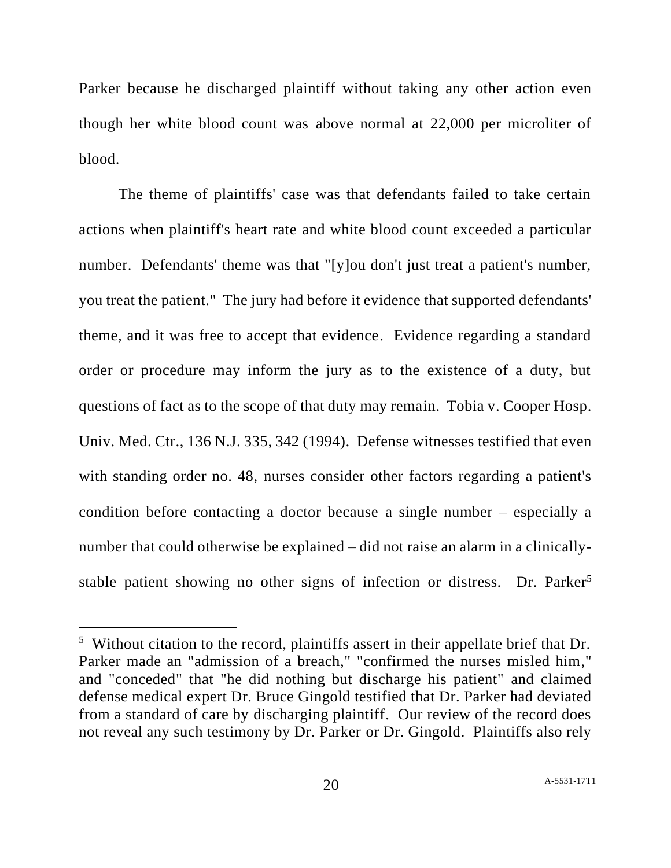Parker because he discharged plaintiff without taking any other action even though her white blood count was above normal at 22,000 per microliter of blood.

The theme of plaintiffs' case was that defendants failed to take certain actions when plaintiff's heart rate and white blood count exceeded a particular number. Defendants' theme was that "[y]ou don't just treat a patient's number, you treat the patient." The jury had before it evidence that supported defendants' theme, and it was free to accept that evidence. Evidence regarding a standard order or procedure may inform the jury as to the existence of a duty, but questions of fact as to the scope of that duty may remain. Tobia v. Cooper Hosp. Univ. Med. Ctr., 136 N.J. 335, 342 (1994). Defense witnesses testified that even with standing order no. 48, nurses consider other factors regarding a patient's condition before contacting a doctor because a single number – especially a number that could otherwise be explained – did not raise an alarm in a clinicallystable patient showing no other signs of infection or distress. Dr. Parker<sup>5</sup>

<sup>&</sup>lt;sup>5</sup> Without citation to the record, plaintiffs assert in their appellate brief that Dr. Parker made an "admission of a breach," "confirmed the nurses misled him," and "conceded" that "he did nothing but discharge his patient" and claimed defense medical expert Dr. Bruce Gingold testified that Dr. Parker had deviated from a standard of care by discharging plaintiff. Our review of the record does not reveal any such testimony by Dr. Parker or Dr. Gingold. Plaintiffs also rely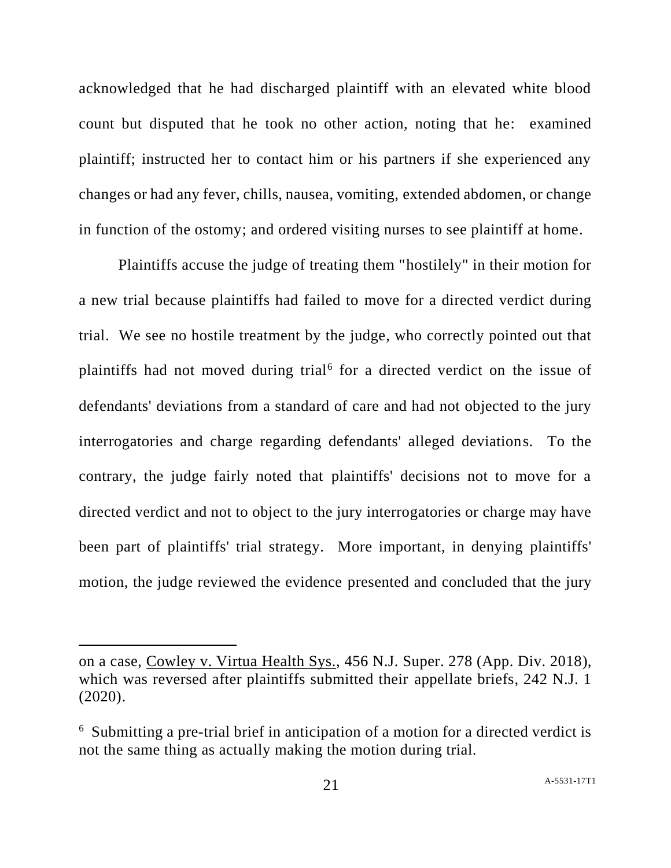acknowledged that he had discharged plaintiff with an elevated white blood count but disputed that he took no other action, noting that he: examined plaintiff; instructed her to contact him or his partners if she experienced any changes or had any fever, chills, nausea, vomiting, extended abdomen, or change in function of the ostomy; and ordered visiting nurses to see plaintiff at home.

Plaintiffs accuse the judge of treating them "hostilely" in their motion for a new trial because plaintiffs had failed to move for a directed verdict during trial. We see no hostile treatment by the judge, who correctly pointed out that plaintiffs had not moved during trial<sup>6</sup> for a directed verdict on the issue of defendants' deviations from a standard of care and had not objected to the jury interrogatories and charge regarding defendants' alleged deviations. To the contrary, the judge fairly noted that plaintiffs' decisions not to move for a directed verdict and not to object to the jury interrogatories or charge may have been part of plaintiffs' trial strategy. More important, in denying plaintiffs' motion, the judge reviewed the evidence presented and concluded that the jury

on a case, Cowley v. Virtua Health Sys., 456 N.J. Super. 278 (App. Div. 2018), which was reversed after plaintiffs submitted their appellate briefs, 242 N.J. 1 (2020).

<sup>6</sup> Submitting a pre-trial brief in anticipation of a motion for a directed verdict is not the same thing as actually making the motion during trial.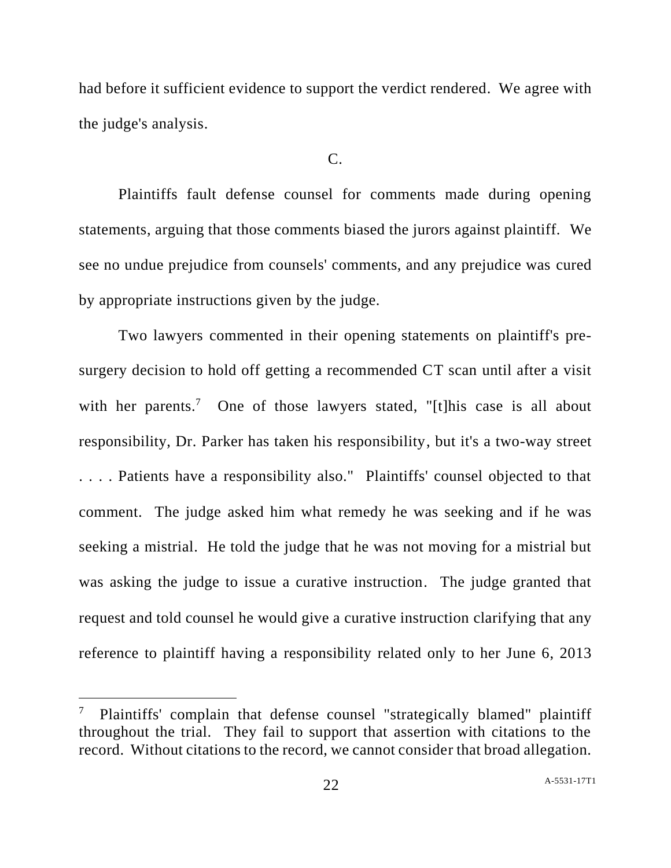had before it sufficient evidence to support the verdict rendered. We agree with the judge's analysis.

#### $C_{\cdot}$

Plaintiffs fault defense counsel for comments made during opening statements, arguing that those comments biased the jurors against plaintiff. We see no undue prejudice from counsels' comments, and any prejudice was cured by appropriate instructions given by the judge.

Two lawyers commented in their opening statements on plaintiff's presurgery decision to hold off getting a recommended CT scan until after a visit with her parents.<sup>7</sup> One of those lawyers stated, "[t]his case is all about responsibility, Dr. Parker has taken his responsibility, but it's a two-way street . . . . Patients have a responsibility also." Plaintiffs' counsel objected to that comment. The judge asked him what remedy he was seeking and if he was seeking a mistrial. He told the judge that he was not moving for a mistrial but was asking the judge to issue a curative instruction. The judge granted that request and told counsel he would give a curative instruction clarifying that any reference to plaintiff having a responsibility related only to her June 6, 2013

<sup>7</sup> Plaintiffs' complain that defense counsel "strategically blamed" plaintiff throughout the trial. They fail to support that assertion with citations to the record. Without citations to the record, we cannot consider that broad allegation.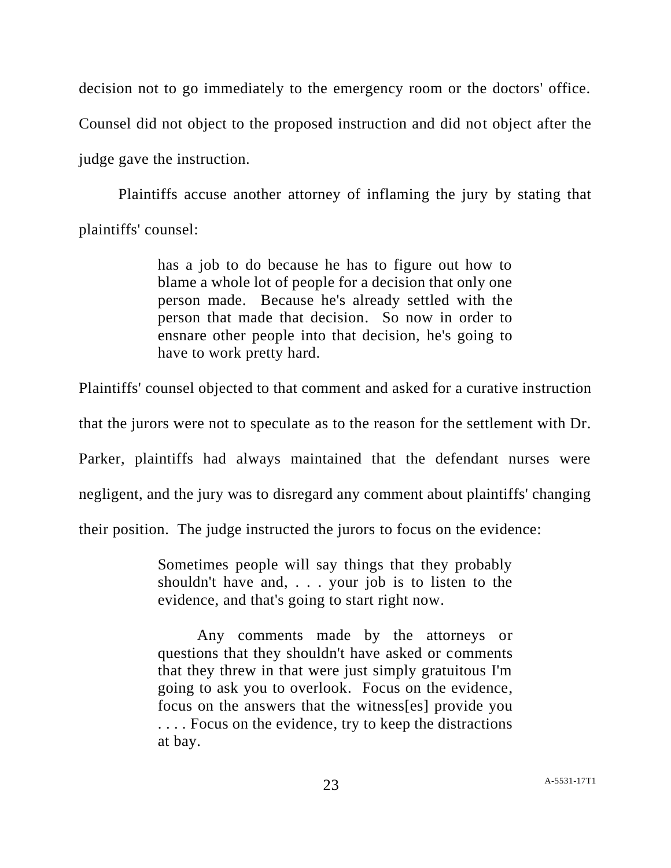decision not to go immediately to the emergency room or the doctors' office. Counsel did not object to the proposed instruction and did not object after the judge gave the instruction.

Plaintiffs accuse another attorney of inflaming the jury by stating that plaintiffs' counsel:

> has a job to do because he has to figure out how to blame a whole lot of people for a decision that only one person made. Because he's already settled with the person that made that decision. So now in order to ensnare other people into that decision, he's going to have to work pretty hard.

Plaintiffs' counsel objected to that comment and asked for a curative instruction

that the jurors were not to speculate as to the reason for the settlement with Dr.

Parker, plaintiffs had always maintained that the defendant nurses were

negligent, and the jury was to disregard any comment about plaintiffs' changing

their position. The judge instructed the jurors to focus on the evidence:

Sometimes people will say things that they probably shouldn't have and, . . . your job is to listen to the evidence, and that's going to start right now.

Any comments made by the attorneys or questions that they shouldn't have asked or comments that they threw in that were just simply gratuitous I'm going to ask you to overlook. Focus on the evidence, focus on the answers that the witness[es] provide you . . . . Focus on the evidence, try to keep the distractions at bay.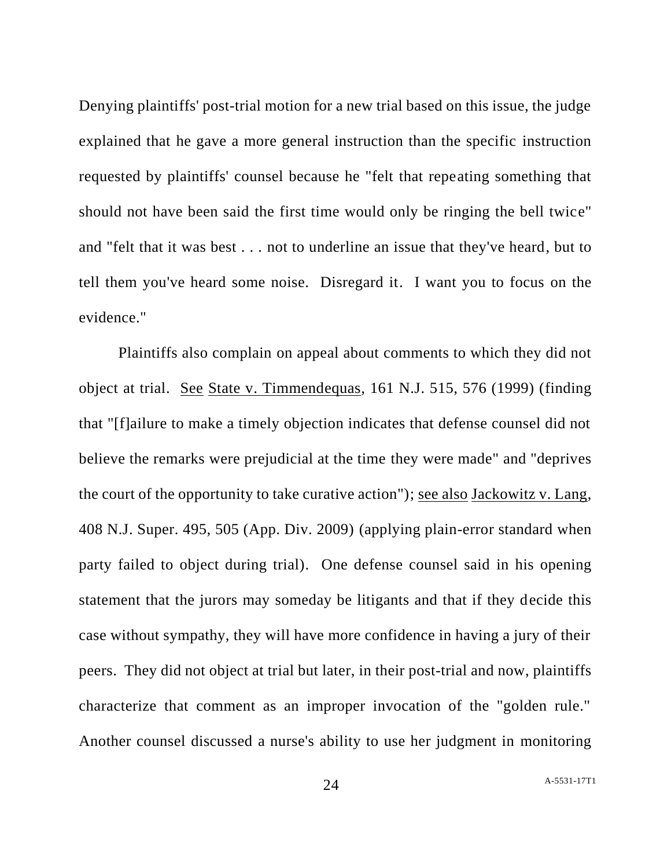Denying plaintiffs' post-trial motion for a new trial based on this issue, the judge explained that he gave a more general instruction than the specific instruction requested by plaintiffs' counsel because he "felt that repeating something that should not have been said the first time would only be ringing the bell twice" and "felt that it was best . . . not to underline an issue that they've heard, but to tell them you've heard some noise. Disregard it. I want you to focus on the evidence."

Plaintiffs also complain on appeal about comments to which they did not object at trial. See State v. Timmendequas, 161 N.J. 515, 576 (1999) (finding that "[f]ailure to make a timely objection indicates that defense counsel did not believe the remarks were prejudicial at the time they were made" and "deprives the court of the opportunity to take curative action"); see also Jackowitz v. Lang, 408 N.J. Super. 495, 505 (App. Div. 2009) (applying plain-error standard when party failed to object during trial). One defense counsel said in his opening statement that the jurors may someday be litigants and that if they decide this case without sympathy, they will have more confidence in having a jury of their peers. They did not object at trial but later, in their post-trial and now, plaintiffs characterize that comment as an improper invocation of the "golden rule." Another counsel discussed a nurse's ability to use her judgment in monitoring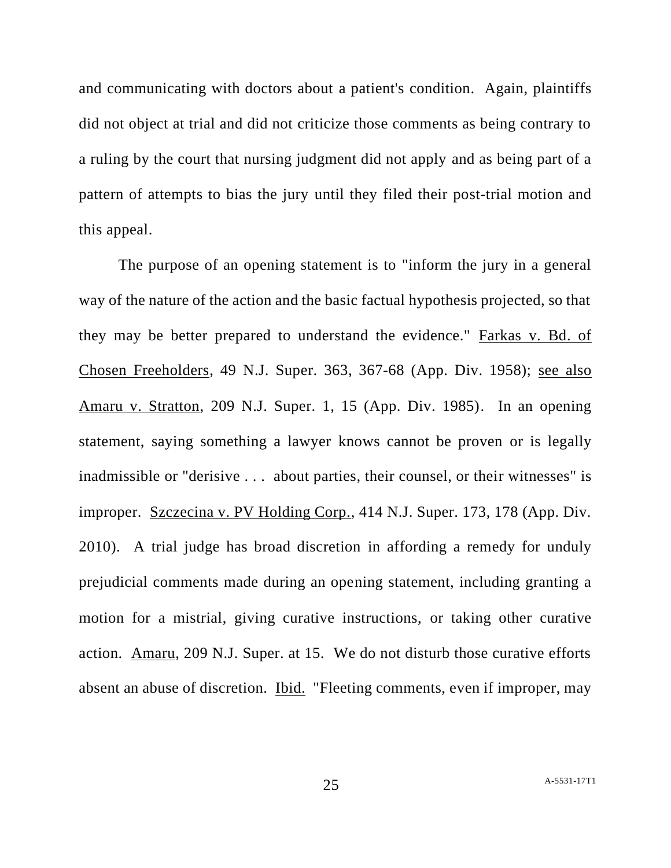and communicating with doctors about a patient's condition. Again, plaintiffs did not object at trial and did not criticize those comments as being contrary to a ruling by the court that nursing judgment did not apply and as being part of a pattern of attempts to bias the jury until they filed their post-trial motion and this appeal.

The purpose of an opening statement is to "inform the jury in a general way of the nature of the action and the basic factual hypothesis projected, so that they may be better prepared to understand the evidence." Farkas v. Bd. of Chosen Freeholders, 49 N.J. Super. 363, 367-68 (App. Div. 1958); see also Amaru v. Stratton, 209 N.J. Super. 1, 15 (App. Div. 1985). In an opening statement, saying something a lawyer knows cannot be proven or is legally inadmissible or "derisive . . . about parties, their counsel, or their witnesses" is improper. Szczecina v. PV Holding Corp., 414 N.J. Super. 173, 178 (App. Div. 2010). A trial judge has broad discretion in affording a remedy for unduly prejudicial comments made during an opening statement, including granting a motion for a mistrial, giving curative instructions, or taking other curative action. Amaru, 209 N.J. Super. at 15. We do not disturb those curative efforts absent an abuse of discretion. Ibid. "Fleeting comments, even if improper, may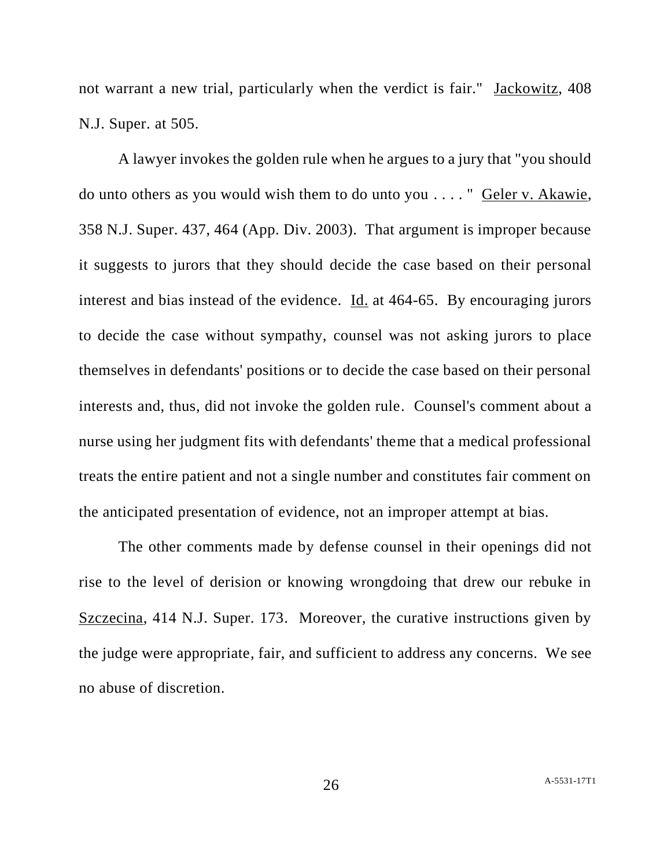not warrant a new trial, particularly when the verdict is fair." Jackowitz, 408 N.J. Super. at 505.

A lawyer invokes the golden rule when he argues to a jury that "you should do unto others as you would wish them to do unto you . . . . " Geler v. Akawie, 358 N.J. Super. 437, 464 (App. Div. 2003). That argument is improper because it suggests to jurors that they should decide the case based on their personal interest and bias instead of the evidence. Id. at 464-65. By encouraging jurors to decide the case without sympathy, counsel was not asking jurors to place themselves in defendants' positions or to decide the case based on their personal interests and, thus, did not invoke the golden rule. Counsel's comment about a nurse using her judgment fits with defendants' theme that a medical professional treats the entire patient and not a single number and constitutes fair comment on the anticipated presentation of evidence, not an improper attempt at bias.

The other comments made by defense counsel in their openings did not rise to the level of derision or knowing wrongdoing that drew our rebuke in Szczecina, 414 N.J. Super. 173. Moreover, the curative instructions given by the judge were appropriate, fair, and sufficient to address any concerns. We see no abuse of discretion.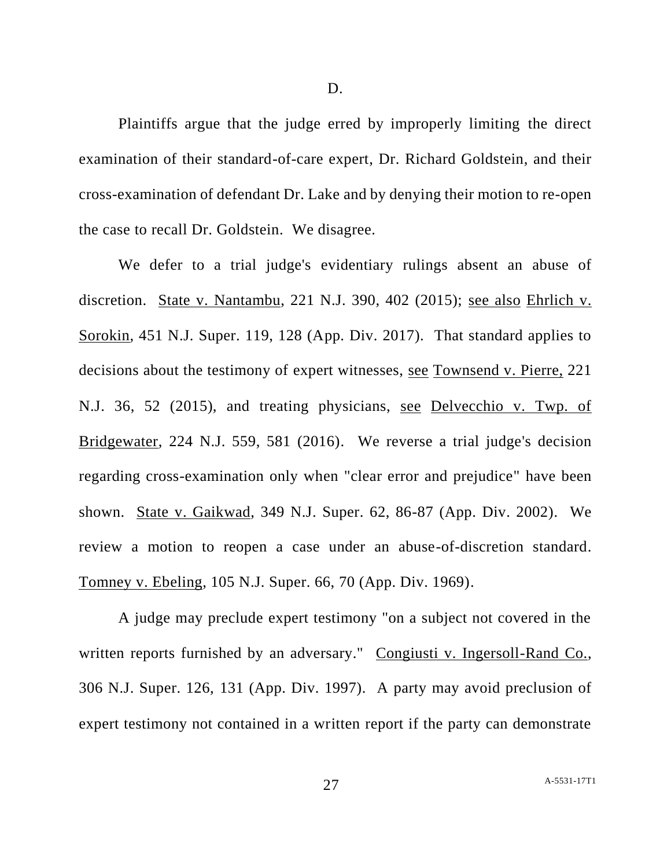D.

Plaintiffs argue that the judge erred by improperly limiting the direct examination of their standard-of-care expert, Dr. Richard Goldstein, and their cross-examination of defendant Dr. Lake and by denying their motion to re-open the case to recall Dr. Goldstein. We disagree.

We defer to a trial judge's evidentiary rulings absent an abuse of discretion. State v. Nantambu, 221 N.J. 390, 402 (2015); see also Ehrlich v. Sorokin, 451 N.J. Super. 119, 128 (App. Div. 2017). That standard applies to decisions about the testimony of expert witnesses, see Townsend v. Pierre, 221 N.J. 36, 52 (2015), and treating physicians, see Delvecchio v. Twp. of Bridgewater, 224 N.J. 559, 581 (2016). We reverse a trial judge's decision regarding cross-examination only when "clear error and prejudice" have been shown. State v. Gaikwad, 349 N.J. Super. 62, 86-87 (App. Div. 2002). We review a motion to reopen a case under an abuse-of-discretion standard. Tomney v. Ebeling, 105 N.J. Super. 66, 70 (App. Div. 1969).

A judge may preclude expert testimony "on a subject not covered in the written reports furnished by an adversary." Congiusti v. Ingersoll-Rand Co., 306 N.J. Super. 126, 131 (App. Div. 1997). A party may avoid preclusion of expert testimony not contained in a written report if the party can demonstrate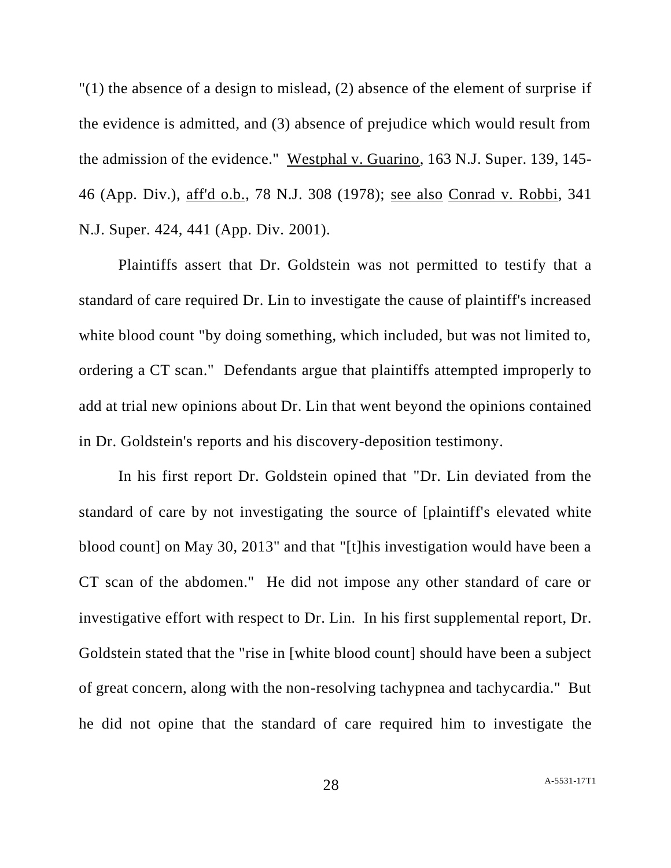"(1) the absence of a design to mislead, (2) absence of the element of surprise if the evidence is admitted, and (3) absence of prejudice which would result from the admission of the evidence." Westphal v. Guarino, 163 N.J. Super. 139, 145- 46 (App. Div.), aff'd o.b., 78 N.J. 308 (1978); see also Conrad v. Robbi, 341 N.J. Super. 424, 441 (App. Div. 2001).

Plaintiffs assert that Dr. Goldstein was not permitted to testify that a standard of care required Dr. Lin to investigate the cause of plaintiff's increased white blood count "by doing something, which included, but was not limited to, ordering a CT scan." Defendants argue that plaintiffs attempted improperly to add at trial new opinions about Dr. Lin that went beyond the opinions contained in Dr. Goldstein's reports and his discovery-deposition testimony.

In his first report Dr. Goldstein opined that "Dr. Lin deviated from the standard of care by not investigating the source of [plaintiff's elevated white blood count] on May 30, 2013" and that "[t]his investigation would have been a CT scan of the abdomen." He did not impose any other standard of care or investigative effort with respect to Dr. Lin. In his first supplemental report, Dr. Goldstein stated that the "rise in [white blood count] should have been a subject of great concern, along with the non-resolving tachypnea and tachycardia." But he did not opine that the standard of care required him to investigate the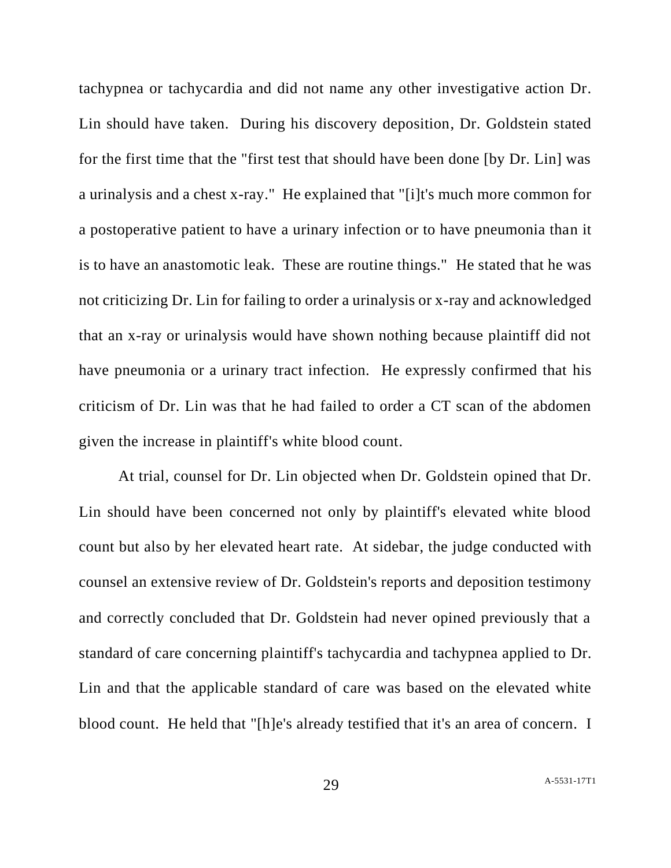tachypnea or tachycardia and did not name any other investigative action Dr. Lin should have taken. During his discovery deposition, Dr. Goldstein stated for the first time that the "first test that should have been done [by Dr. Lin] was a urinalysis and a chest x-ray." He explained that "[i]t's much more common for a postoperative patient to have a urinary infection or to have pneumonia than it is to have an anastomotic leak. These are routine things." He stated that he was not criticizing Dr. Lin for failing to order a urinalysis or x-ray and acknowledged that an x-ray or urinalysis would have shown nothing because plaintiff did not have pneumonia or a urinary tract infection. He expressly confirmed that his criticism of Dr. Lin was that he had failed to order a CT scan of the abdomen given the increase in plaintiff's white blood count.

At trial, counsel for Dr. Lin objected when Dr. Goldstein opined that Dr. Lin should have been concerned not only by plaintiff's elevated white blood count but also by her elevated heart rate. At sidebar, the judge conducted with counsel an extensive review of Dr. Goldstein's reports and deposition testimony and correctly concluded that Dr. Goldstein had never opined previously that a standard of care concerning plaintiff's tachycardia and tachypnea applied to Dr. Lin and that the applicable standard of care was based on the elevated white blood count. He held that "[h]e's already testified that it's an area of concern. I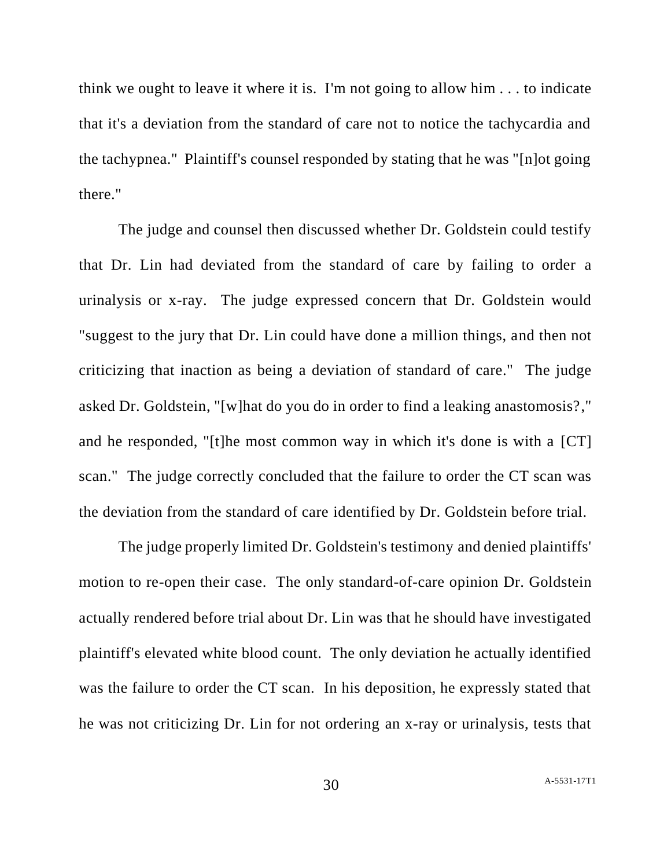think we ought to leave it where it is. I'm not going to allow him . . . to indicate that it's a deviation from the standard of care not to notice the tachycardia and the tachypnea." Plaintiff's counsel responded by stating that he was "[n]ot going there."

The judge and counsel then discussed whether Dr. Goldstein could testify that Dr. Lin had deviated from the standard of care by failing to order a urinalysis or x-ray. The judge expressed concern that Dr. Goldstein would "suggest to the jury that Dr. Lin could have done a million things, and then not criticizing that inaction as being a deviation of standard of care." The judge asked Dr. Goldstein, "[w]hat do you do in order to find a leaking anastomosis?," and he responded, "[t]he most common way in which it's done is with a [CT] scan." The judge correctly concluded that the failure to order the CT scan was the deviation from the standard of care identified by Dr. Goldstein before trial.

The judge properly limited Dr. Goldstein's testimony and denied plaintiffs' motion to re-open their case. The only standard-of-care opinion Dr. Goldstein actually rendered before trial about Dr. Lin was that he should have investigated plaintiff's elevated white blood count. The only deviation he actually identified was the failure to order the CT scan. In his deposition, he expressly stated that he was not criticizing Dr. Lin for not ordering an x-ray or urinalysis, tests that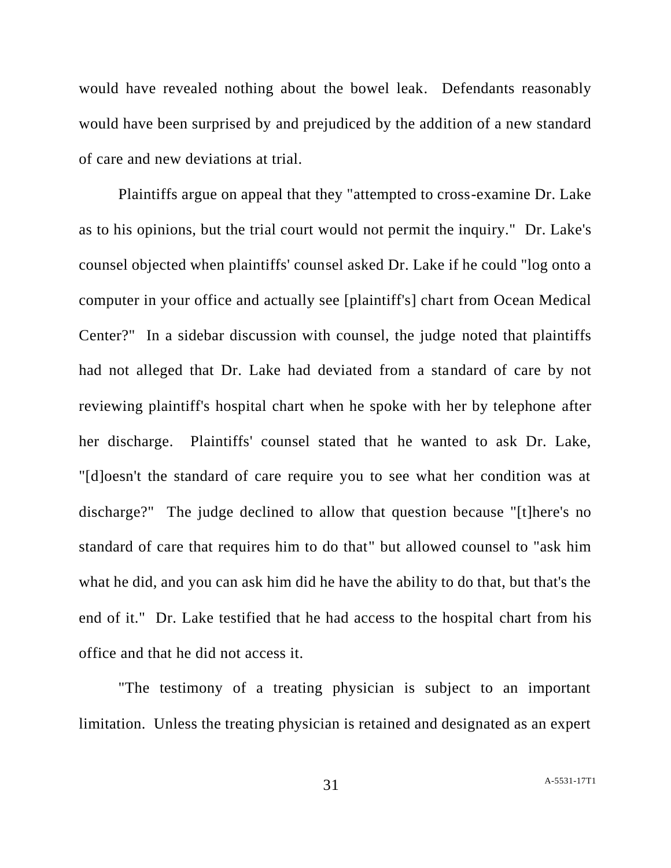would have revealed nothing about the bowel leak. Defendants reasonably would have been surprised by and prejudiced by the addition of a new standard of care and new deviations at trial.

Plaintiffs argue on appeal that they "attempted to cross-examine Dr. Lake as to his opinions, but the trial court would not permit the inquiry." Dr. Lake's counsel objected when plaintiffs' counsel asked Dr. Lake if he could "log onto a computer in your office and actually see [plaintiff's] chart from Ocean Medical Center?" In a sidebar discussion with counsel, the judge noted that plaintiffs had not alleged that Dr. Lake had deviated from a standard of care by not reviewing plaintiff's hospital chart when he spoke with her by telephone after her discharge. Plaintiffs' counsel stated that he wanted to ask Dr. Lake, "[d]oesn't the standard of care require you to see what her condition was at discharge?" The judge declined to allow that question because "[t]here's no standard of care that requires him to do that" but allowed counsel to "ask him what he did, and you can ask him did he have the ability to do that, but that's the end of it." Dr. Lake testified that he had access to the hospital chart from his office and that he did not access it.

"The testimony of a treating physician is subject to an important limitation. Unless the treating physician is retained and designated as an expert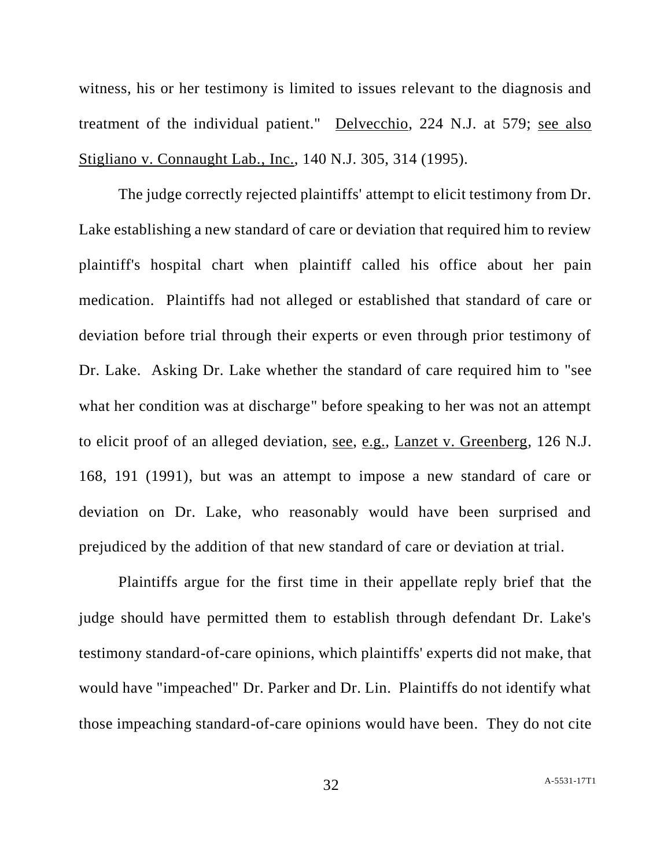witness, his or her testimony is limited to issues relevant to the diagnosis and treatment of the individual patient." Delvecchio, 224 N.J. at 579; see also Stigliano v. Connaught Lab., Inc., 140 N.J. 305, 314 (1995).

The judge correctly rejected plaintiffs' attempt to elicit testimony from Dr. Lake establishing a new standard of care or deviation that required him to review plaintiff's hospital chart when plaintiff called his office about her pain medication. Plaintiffs had not alleged or established that standard of care or deviation before trial through their experts or even through prior testimony of Dr. Lake. Asking Dr. Lake whether the standard of care required him to "see what her condition was at discharge" before speaking to her was not an attempt to elicit proof of an alleged deviation, see, e.g., Lanzet v. Greenberg, 126 N.J. 168, 191 (1991), but was an attempt to impose a new standard of care or deviation on Dr. Lake, who reasonably would have been surprised and prejudiced by the addition of that new standard of care or deviation at trial.

Plaintiffs argue for the first time in their appellate reply brief that the judge should have permitted them to establish through defendant Dr. Lake's testimony standard-of-care opinions, which plaintiffs' experts did not make, that would have "impeached" Dr. Parker and Dr. Lin. Plaintiffs do not identify what those impeaching standard-of-care opinions would have been. They do not cite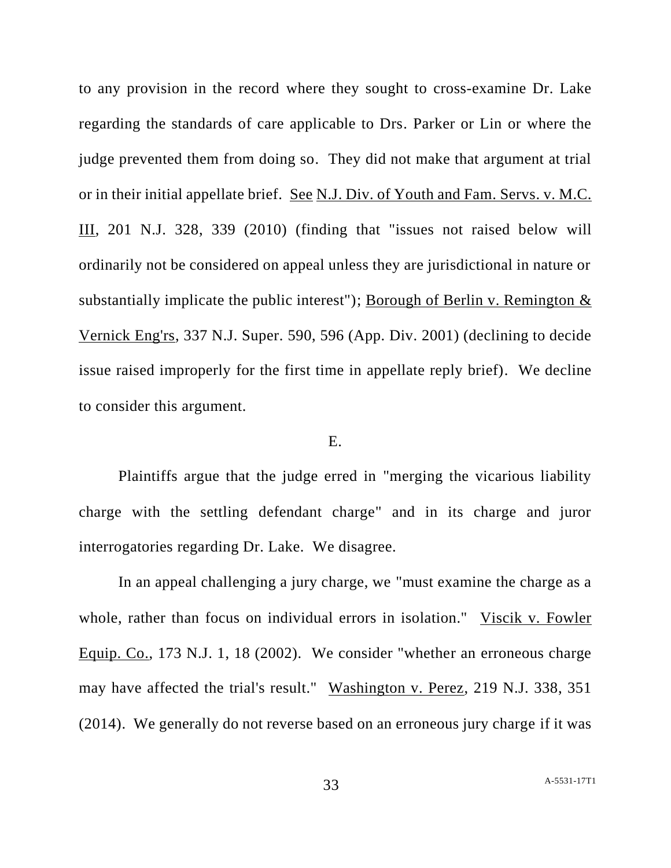to any provision in the record where they sought to cross-examine Dr. Lake regarding the standards of care applicable to Drs. Parker or Lin or where the judge prevented them from doing so. They did not make that argument at trial or in their initial appellate brief. See N.J. Div. of Youth and Fam. Servs. v. M.C. III, 201 N.J. 328, 339 (2010) (finding that "issues not raised below will ordinarily not be considered on appeal unless they are jurisdictional in nature or substantially implicate the public interest"); Borough of Berlin v. Remington & Vernick Eng'rs, 337 N.J. Super. 590, 596 (App. Div. 2001) (declining to decide issue raised improperly for the first time in appellate reply brief). We decline to consider this argument.

### E.

Plaintiffs argue that the judge erred in "merging the vicarious liability charge with the settling defendant charge" and in its charge and juror interrogatories regarding Dr. Lake. We disagree.

In an appeal challenging a jury charge, we "must examine the charge as a whole, rather than focus on individual errors in isolation." Viscik v. Fowler Equip. Co., 173 N.J. 1, 18 (2002). We consider "whether an erroneous charge may have affected the trial's result." Washington v. Perez, 219 N.J. 338, 351 (2014). We generally do not reverse based on an erroneous jury charge if it was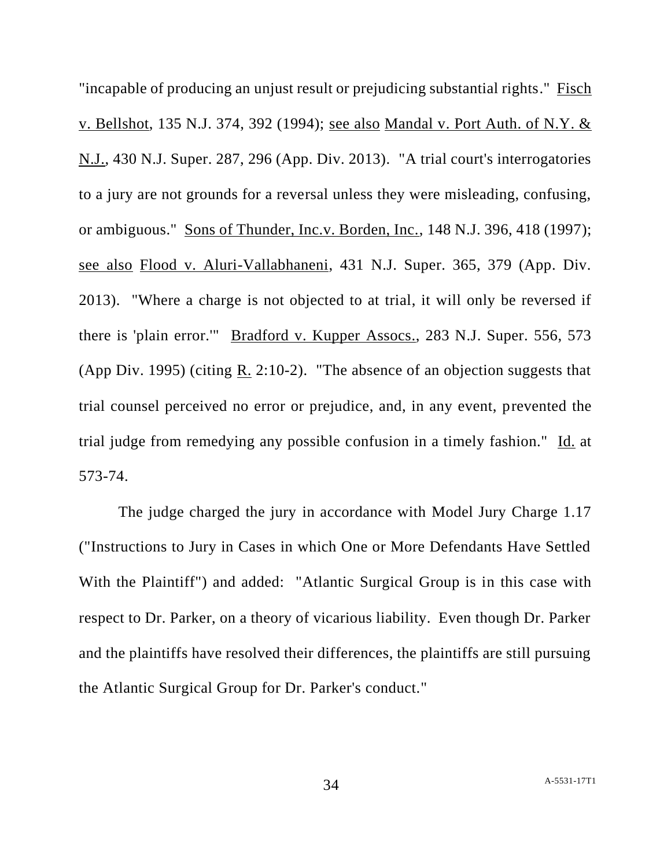"incapable of producing an unjust result or prejudicing substantial rights." Fisch v. Bellshot, 135 N.J. 374, 392 (1994); see also Mandal v. Port Auth. of N.Y. & N.J., 430 N.J. Super. 287, 296 (App. Div. 2013). "A trial court's interrogatories to a jury are not grounds for a reversal unless they were misleading, confusing, or ambiguous." Sons of Thunder, Inc.v. Borden, Inc., 148 N.J. 396, 418 (1997); see also Flood v. Aluri-Vallabhaneni, 431 N.J. Super. 365, 379 (App. Div. 2013). "Where a charge is not objected to at trial, it will only be reversed if there is 'plain error.'" Bradford v. Kupper Assocs., 283 N.J. Super. 556, 573 (App Div. 1995) (citing R. 2:10-2). "The absence of an objection suggests that trial counsel perceived no error or prejudice, and, in any event, prevented the trial judge from remedying any possible confusion in a timely fashion." Id. at 573-74.

The judge charged the jury in accordance with Model Jury Charge 1.17 ("Instructions to Jury in Cases in which One or More Defendants Have Settled With the Plaintiff") and added: "Atlantic Surgical Group is in this case with respect to Dr. Parker, on a theory of vicarious liability. Even though Dr. Parker and the plaintiffs have resolved their differences, the plaintiffs are still pursuing the Atlantic Surgical Group for Dr. Parker's conduct."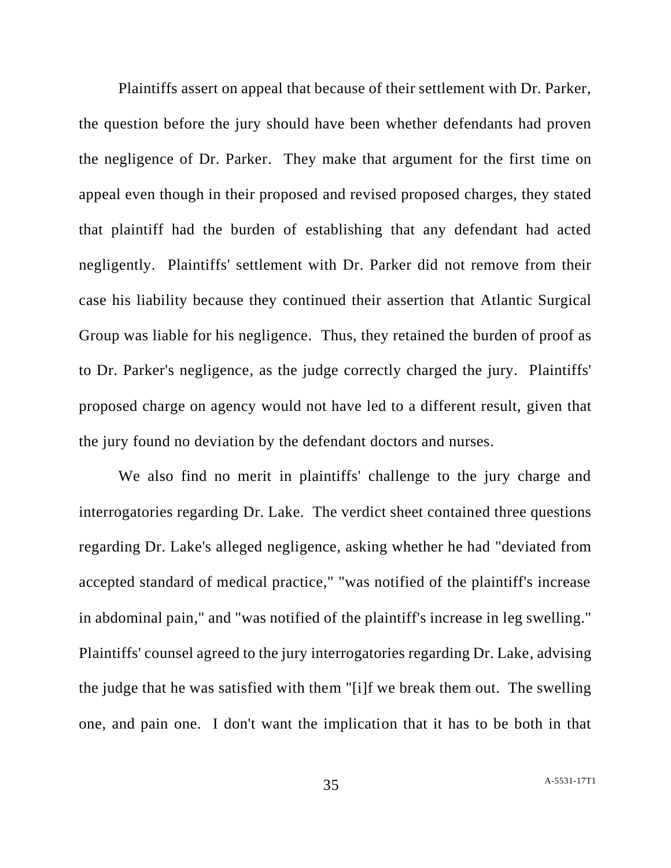Plaintiffs assert on appeal that because of their settlement with Dr. Parker, the question before the jury should have been whether defendants had proven the negligence of Dr. Parker. They make that argument for the first time on appeal even though in their proposed and revised proposed charges, they stated that plaintiff had the burden of establishing that any defendant had acted negligently. Plaintiffs' settlement with Dr. Parker did not remove from their case his liability because they continued their assertion that Atlantic Surgical Group was liable for his negligence. Thus, they retained the burden of proof as to Dr. Parker's negligence, as the judge correctly charged the jury. Plaintiffs' proposed charge on agency would not have led to a different result, given that the jury found no deviation by the defendant doctors and nurses.

We also find no merit in plaintiffs' challenge to the jury charge and interrogatories regarding Dr. Lake. The verdict sheet contained three questions regarding Dr. Lake's alleged negligence, asking whether he had "deviated from accepted standard of medical practice," "was notified of the plaintiff's increase in abdominal pain," and "was notified of the plaintiff's increase in leg swelling." Plaintiffs' counsel agreed to the jury interrogatories regarding Dr. Lake, advising the judge that he was satisfied with them "[i]f we break them out. The swelling one, and pain one. I don't want the implication that it has to be both in that